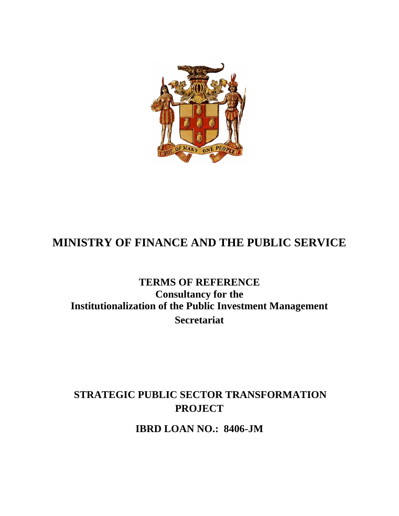

# **MINISTRY OF FINANCE AND THE PUBLIC SERVICE**

## **TERMS OF REFERENCE Consultancy for the Institutionalization of the Public Investment Management Secretariat**

## **STRATEGIC PUBLIC SECTOR TRANSFORMATION PROJECT**

**IBRD LOAN NO.: 8406-JM**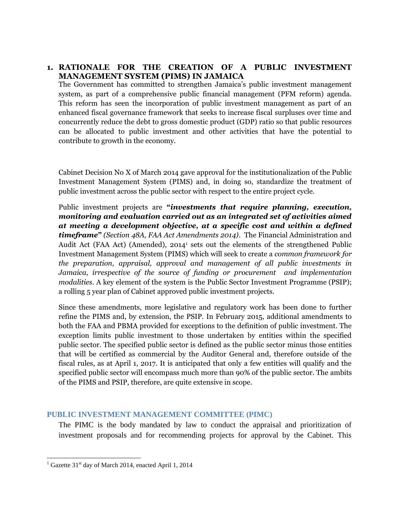## **1. RATIONALE FOR THE CREATION OF A PUBLIC INVESTMENT MANAGEMENT SYSTEM (PIMS) IN JAMAICA**

The Government has committed to strengthen Jamaica's public investment management system, as part of a comprehensive public financial management (PFM reform) agenda. This reform has seen the incorporation of public investment management as part of an enhanced fiscal governance framework that seeks to increase fiscal surpluses over time and concurrently reduce the debt to gross domestic product (GDP) ratio so that public resources can be allocated to public investment and other activities that have the potential to contribute to growth in the economy.

Cabinet Decision No X of March 2014 gave approval for the institutionalization of the Public Investment Management System (PIMS) and, in doing so, standardize the treatment of public investment across the public sector with respect to the entire project cycle.

Public investment projects are **"***investments that require planning, execution, monitoring and evaluation carried out as an integrated set of activities aimed at meeting a development objective, at a specific cost and within a defined timeframe***"** *(Section 48A, FAA Act Amendments 2014)*. The Financial Administration and Audit Act (FAA Act) (Amended), 2014<sup>1</sup> sets out the elements of the strengthened Public Investment Management System (PIMS) which will seek to create a *common framework for the preparation, appraisal, approval and management of all public investments in Jamaica, irrespective of the source of funding or procurement and implementation modalities.* A key element of the system is the Public Sector Investment Programme (PSIP); a rolling 5 year plan of Cabinet approved public investment projects.

Since these amendments, more legislative and regulatory work has been done to further refine the PIMS and, by extension, the PSIP. In February 2015, additional amendments to both the FAA and PBMA provided for exceptions to the definition of public investment. The exception limits public investment to those undertaken by entities within the specified public sector. The specified public sector is defined as the public sector minus those entities that will be certified as commercial by the Auditor General and, therefore outside of the fiscal rules, as at April 1, 2017. It is anticipated that only a few entities will qualify and the specified public sector will encompass much more than 90% of the public sector. The ambits of the PIMS and PSIP, therefore, are quite extensive in scope.

## **PUBLIC INVESTMENT MANAGEMENT COMMITTEE (PIMC)**

The PIMC is the body mandated by law to conduct the appraisal and prioritization of investment proposals and for recommending projects for approval by the Cabinet. This

 $1$  Gazette 31<sup>st</sup> day of March 2014, enacted April 1, 2014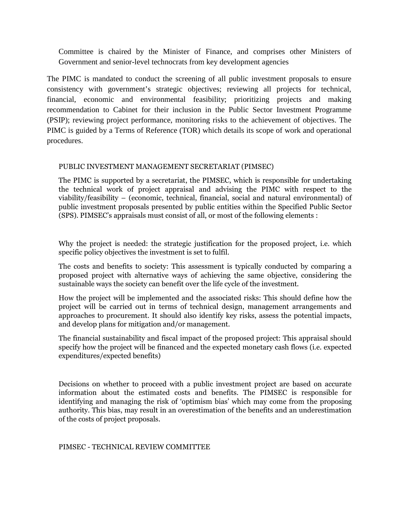Committee is chaired by the Minister of Finance, and comprises other Ministers of Government and senior-level technocrats from key development agencies

The PIMC is mandated to conduct the screening of all public investment proposals to ensure consistency with government's strategic objectives; reviewing all projects for technical, financial, economic and environmental feasibility; prioritizing projects and making recommendation to Cabinet for their inclusion in the Public Sector Investment Programme (PSIP); reviewing project performance, monitoring risks to the achievement of objectives. The PIMC is guided by a Terms of Reference (TOR) which details its scope of work and operational procedures.

#### PUBLIC INVESTMENT MANAGEMENT SECRETARIAT (PIMSEC)

The PIMC is supported by a secretariat, the PIMSEC, which is responsible for undertaking the technical work of project appraisal and advising the PIMC with respect to the viability/feasibility – (economic, technical, financial, social and natural environmental) of public investment proposals presented by public entities within the Specified Public Sector (SPS). PIMSEC's appraisals must consist of all, or most of the following elements :

Why the project is needed: the strategic justification for the proposed project, i.e. which specific policy objectives the investment is set to fulfil.

The costs and benefits to society: This assessment is typically conducted by comparing a proposed project with alternative ways of achieving the same objective, considering the sustainable ways the society can benefit over the life cycle of the investment.

How the project will be implemented and the associated risks: This should define how the project will be carried out in terms of technical design, management arrangements and approaches to procurement. It should also identify key risks, assess the potential impacts, and develop plans for mitigation and/or management.

The financial sustainability and fiscal impact of the proposed project: This appraisal should specify how the project will be financed and the expected monetary cash flows (i.e. expected expenditures/expected benefits)

Decisions on whether to proceed with a public investment project are based on accurate information about the estimated costs and benefits. The PIMSEC is responsible for identifying and managing the risk of 'optimism bias' which may come from the proposing authority. This bias, may result in an overestimation of the benefits and an underestimation of the costs of project proposals.

#### PIMSEC - TECHNICAL REVIEW COMMITTEE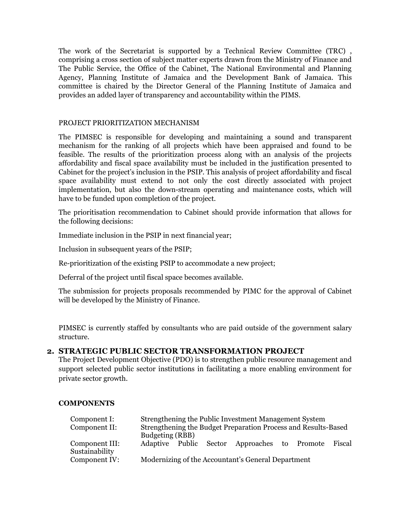The work of the Secretariat is supported by a Technical Review Committee (TRC) , comprising a cross section of subject matter experts drawn from the Ministry of Finance and The Public Service, the Office of the Cabinet, The National Environmental and Planning Agency, Planning Institute of Jamaica and the Development Bank of Jamaica. This committee is chaired by the Director General of the Planning Institute of Jamaica and provides an added layer of transparency and accountability within the PIMS.

#### PROJECT PRIORITIZATION MECHANISM

The PIMSEC is responsible for developing and maintaining a sound and transparent mechanism for the ranking of all projects which have been appraised and found to be feasible. The results of the prioritization process along with an analysis of the projects affordability and fiscal space availability must be included in the justification presented to Cabinet for the project's inclusion in the PSIP. This analysis of project affordability and fiscal space availability must extend to not only the cost directly associated with project implementation, but also the down-stream operating and maintenance costs, which will have to be funded upon completion of the project.

The prioritisation recommendation to Cabinet should provide information that allows for the following decisions:

Immediate inclusion in the PSIP in next financial year;

Inclusion in subsequent years of the PSIP;

Re-prioritization of the existing PSIP to accommodate a new project;

Deferral of the project until fiscal space becomes available.

The submission for projects proposals recommended by PIMC for the approval of Cabinet will be developed by the Ministry of Finance.

PIMSEC is currently staffed by consultants who are paid outside of the government salary structure.

#### **2. STRATEGIC PUBLIC SECTOR TRANSFORMATION PROJECT**

The Project Development Objective (PDO) is to strengthen public resource management and support selected public sector institutions in facilitating a more enabling environment for private sector growth.

#### **COMPONENTS**

| Component I:   | Strengthening the Public Investment Management System          |  |  |
|----------------|----------------------------------------------------------------|--|--|
| Component II:  | Strengthening the Budget Preparation Process and Results-Based |  |  |
|                | Budgeting (RBB)                                                |  |  |
| Component III: | Adaptive Public Sector<br>Approaches to Promote<br>Fiscal      |  |  |
| Sustainability |                                                                |  |  |
| Component IV:  | Modernizing of the Accountant's General Department             |  |  |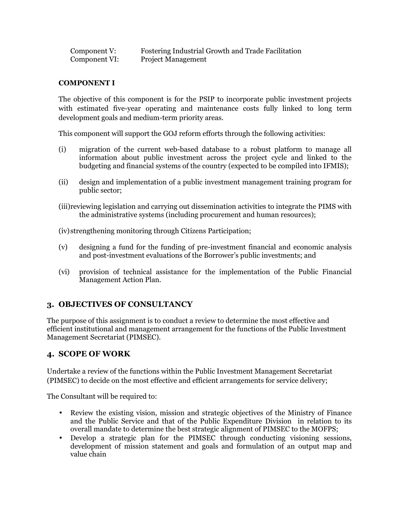| Component V:  | <b>Fostering Industrial Growth and Trade Facilitation</b> |
|---------------|-----------------------------------------------------------|
| Component VI: | <b>Project Management</b>                                 |

#### **COMPONENT I**

The objective of this component is for the PSIP to incorporate public investment projects with estimated five-year operating and maintenance costs fully linked to long term development goals and medium-term priority areas.

This component will support the GOJ reform efforts through the following activities:

- (i) migration of the current web-based database to a robust platform to manage all information about public investment across the project cycle and linked to the budgeting and financial systems of the country (expected to be compiled into IFMIS);
- (ii) design and implementation of a public investment management training program for public sector;
- (iii)reviewing legislation and carrying out dissemination activities to integrate the PIMS with the administrative systems (including procurement and human resources);

(iv)strengthening monitoring through Citizens Participation;

- (v) designing a fund for the funding of pre-investment financial and economic analysis and post-investment evaluations of the Borrower's public investments; and
- (vi) provision of technical assistance for the implementation of the Public Financial Management Action Plan.

## **3. OBJECTIVES OF CONSULTANCY**

The purpose of this assignment is to conduct a review to determine the most effective and efficient institutional and management arrangement for the functions of the Public Investment Management Secretariat (PIMSEC).

## **4. SCOPE OF WORK**

Undertake a review of the functions within the Public Investment Management Secretariat (PIMSEC) to decide on the most effective and efficient arrangements for service delivery;

The Consultant will be required to:

- Review the existing vision, mission and strategic objectives of the Ministry of Finance and the Public Service and that of the Public Expenditure Division in relation to its overall mandate to determine the best strategic alignment of PIMSEC to the MOFPS;
- Develop a strategic plan for the PIMSEC through conducting visioning sessions, development of mission statement and goals and formulation of an output map and value chain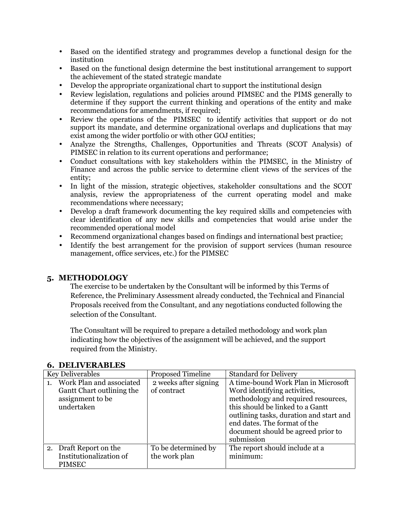- Based on the identified strategy and programmes develop a functional design for the institution
- Based on the functional design determine the best institutional arrangement to support the achievement of the stated strategic mandate
- Develop the appropriate organizational chart to support the institutional design
- Review legislation, regulations and policies around PIMSEC and the PIMS generally to determine if they support the current thinking and operations of the entity and make recommendations for amendments, if required;
- Review the operations of the PIMSEC to identify activities that support or do not support its mandate, and determine organizational overlaps and duplications that may exist among the wider portfolio or with other GOJ entities;
- Analyze the Strengths, Challenges, Opportunities and Threats (SCOT Analysis) of PIMSEC in relation to its current operations and performance;
- Conduct consultations with key stakeholders within the PIMSEC, in the Ministry of Finance and across the public service to determine client views of the services of the entity;
- In light of the mission, strategic objectives, stakeholder consultations and the SCOT analysis, review the appropriateness of the current operating model and make recommendations where necessary;
- Develop a draft framework documenting the key required skills and competencies with clear identification of any new skills and competencies that would arise under the recommended operational model
- Recommend organizational changes based on findings and international best practice;
- Identify the best arrangement for the provision of support services (human resource management, office services, etc.) for the PIMSEC

## **5. METHODOLOGY**

The exercise to be undertaken by the Consultant will be informed by this Terms of Reference, the Preliminary Assessment already conducted, the Technical and Financial Proposals received from the Consultant, and any negotiations conducted following the selection of the Consultant.

The Consultant will be required to prepare a detailed methodology and work plan indicating how the objectives of the assignment will be achieved, and the support required from the Ministry.

| <b>Key Deliverables</b> |                                                                                         | <b>Proposed Timeline</b>             | <b>Standard for Delivery</b>                                                                                                                                                                                                                                                  |
|-------------------------|-----------------------------------------------------------------------------------------|--------------------------------------|-------------------------------------------------------------------------------------------------------------------------------------------------------------------------------------------------------------------------------------------------------------------------------|
| 1.                      | Work Plan and associated<br>Gantt Chart outlining the<br>assignment to be<br>undertaken | 2 weeks after signing<br>of contract | A time-bound Work Plan in Microsoft<br>Word identifying activities,<br>methodology and required resources,<br>this should be linked to a Gantt<br>outlining tasks, duration and start and<br>end dates. The format of the<br>document should be agreed prior to<br>submission |
|                         | 2. Draft Report on the<br>Institutionalization of<br><b>PIMSEC</b>                      | To be determined by<br>the work plan | The report should include at a<br>minimum:                                                                                                                                                                                                                                    |

#### **6. DELIVERABLES**